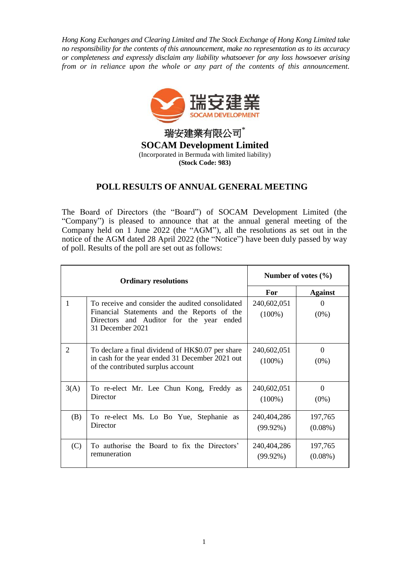*Hong Kong Exchanges and Clearing Limited and The Stock Exchange of Hong Kong Limited take no responsibility for the contents of this announcement, make no representation as to its accuracy or completeness and expressly disclaim any liability whatsoever for any loss howsoever arising from or in reliance upon the whole or any part of the contents of this announcement.*



## **POLL RESULTS OF ANNUAL GENERAL MEETING**

The Board of Directors (the "Board") of SOCAM Development Limited (the "Company") is pleased to announce that at the annual general meeting of the Company held on 1 June 2022 (the "AGM"), all the resolutions as set out in the notice of the AGM dated 28 April 2022 (the "Notice") have been duly passed by way of poll. Results of the poll are set out as follows:

| <b>Ordinary resolutions</b> |                                                                                                                                                                    | Number of votes $(\% )$    |                       |
|-----------------------------|--------------------------------------------------------------------------------------------------------------------------------------------------------------------|----------------------------|-----------------------|
|                             |                                                                                                                                                                    | For                        | <b>Against</b>        |
| 1                           | To receive and consider the audited consolidated<br>Financial Statements and the Reports of the<br>Directors and Auditor for the year<br>ended<br>31 December 2021 | 240,602,051<br>$(100\%)$   | $\theta$<br>$(0\%)$   |
| $\mathcal{D}_{\mathcal{L}}$ | To declare a final dividend of HK\$0.07 per share<br>in cash for the year ended 31 December 2021 out<br>of the contributed surplus account                         | 240,602,051<br>$(100\%)$   | $\Omega$<br>$(0\%)$   |
| 3(A)                        | To re-elect Mr. Lee Chun Kong, Freddy as<br>Director                                                                                                               | 240,602,051<br>$(100\%)$   | $\Omega$<br>$(0\%)$   |
| (B)                         | To re-elect Ms. Lo Bo Yue, Stephanie as<br>Director                                                                                                                | 240,404,286<br>$(99.92\%)$ | 197,765<br>$(0.08\%)$ |
| (C)                         | To authorise the Board to fix the Directors'<br>remuneration                                                                                                       | 240,404,286<br>$(99.92\%)$ | 197,765<br>$(0.08\%)$ |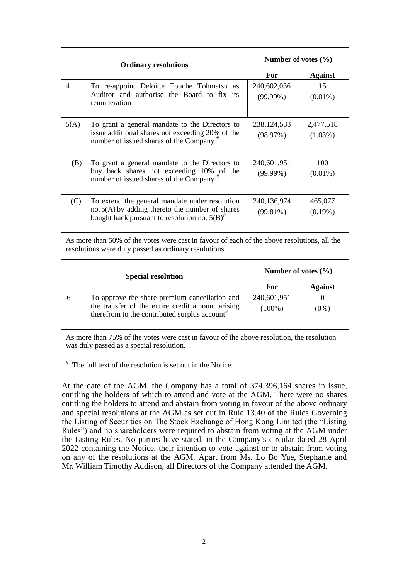| <b>Ordinary resolutions</b>                                                                                                                          |                                                                                                                                                                | Number of votes $(\% )$    |                         |  |  |
|------------------------------------------------------------------------------------------------------------------------------------------------------|----------------------------------------------------------------------------------------------------------------------------------------------------------------|----------------------------|-------------------------|--|--|
|                                                                                                                                                      |                                                                                                                                                                | For                        | <b>Against</b>          |  |  |
| $\overline{4}$                                                                                                                                       | To re-appoint Deloitte Touche Tohmatsu as<br>Auditor and authorise the Board to fix its<br>remuneration                                                        | 240,602,036<br>$(99.99\%)$ | 15<br>$(0.01\%)$        |  |  |
| 5(A)                                                                                                                                                 | To grant a general mandate to the Directors to<br>issue additional shares not exceeding 20% of the<br>number of issued shares of the Company <sup>#</sup>      | 238,124,533<br>(98.97%)    | 2,477,518<br>$(1.03\%)$ |  |  |
| (B)                                                                                                                                                  | To grant a general mandate to the Directors to<br>buy back shares not exceeding 10% of the<br>number of issued shares of the Company <sup>#</sup>              | 240,601,951<br>$(99.99\%)$ | 100<br>$(0.01\%)$       |  |  |
| (C)                                                                                                                                                  | To extend the general mandate under resolution<br>no. $5(A)$ by adding thereto the number of shares<br>bought back pursuant to resolution no. $5(B)^{\#}$      | 240,136,974<br>$(99.81\%)$ | 465,077<br>$(0.19\%)$   |  |  |
| As more than 50% of the votes were cast in favour of each of the above resolutions, all the<br>resolutions were duly passed as ordinary resolutions. |                                                                                                                                                                |                            |                         |  |  |
| <b>Special resolution</b>                                                                                                                            |                                                                                                                                                                | Number of votes $(\% )$    |                         |  |  |
|                                                                                                                                                      |                                                                                                                                                                | For                        | <b>Against</b>          |  |  |
| 6                                                                                                                                                    | To approve the share premium cancellation and<br>the transfer of the entire credit amount arising<br>therefrom to the contributed surplus account <sup>#</sup> | 240,601,951<br>$(100\%)$   | $\Omega$<br>$(0\%)$     |  |  |
| As more than 75% of the votes were cast in favour of the above resolution, the resolution<br>was duly passed as a special resolution.                |                                                                                                                                                                |                            |                         |  |  |

# The full text of the resolution is set out in the Notice.

At the date of the AGM, the Company has a total of 374,396,164 shares in issue, entitling the holders of which to attend and vote at the AGM. There were no shares entitling the holders to attend and abstain from voting in favour of the above ordinary and special resolutions at the AGM as set out in Rule 13.40 of the Rules Governing the Listing of Securities on The Stock Exchange of Hong Kong Limited (the "Listing Rules") and no shareholders were required to abstain from voting at the AGM under the Listing Rules. No parties have stated, in the Company's circular dated 28 April 2022 containing the Notice, their intention to vote against or to abstain from voting on any of the resolutions at the AGM. Apart from Ms. Lo Bo Yue, Stephanie and Mr. William Timothy Addison, all Directors of the Company attended the AGM.